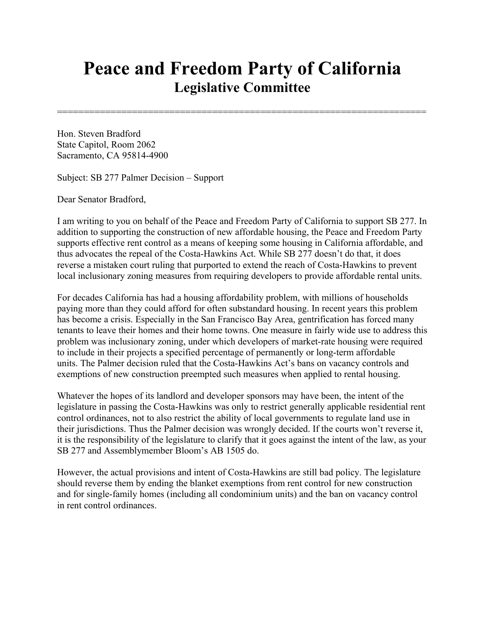## **Peace and Freedom Party of California Legislative Committee**

=====================================================================

Hon. Steven Bradford State Capitol, Room 2062 Sacramento, CA 95814-4900

Subject: SB 277 Palmer Decision – Support

Dear Senator Bradford,

I am writing to you on behalf of the Peace and Freedom Party of California to support SB 277. In addition to supporting the construction of new affordable housing, the Peace and Freedom Party supports effective rent control as a means of keeping some housing in California affordable, and thus advocates the repeal of the Costa-Hawkins Act. While SB 277 doesn't do that, it does reverse a mistaken court ruling that purported to extend the reach of Costa-Hawkins to prevent local inclusionary zoning measures from requiring developers to provide affordable rental units.

For decades California has had a housing affordability problem, with millions of households paying more than they could afford for often substandard housing. In recent years this problem has become a crisis. Especially in the San Francisco Bay Area, gentrification has forced many tenants to leave their homes and their home towns. One measure in fairly wide use to address this problem was inclusionary zoning, under which developers of market-rate housing were required to include in their projects a specified percentage of permanently or long-term affordable units. The Palmer decision ruled that the Costa-Hawkins Act's bans on vacancy controls and exemptions of new construction preempted such measures when applied to rental housing.

Whatever the hopes of its landlord and developer sponsors may have been, the intent of the legislature in passing the Costa-Hawkins was only to restrict generally applicable residential rent control ordinances, not to also restrict the ability of local governments to regulate land use in their jurisdictions. Thus the Palmer decision was wrongly decided. If the courts won't reverse it, it is the responsibility of the legislature to clarify that it goes against the intent of the law, as your SB 277 and Assemblymember Bloom's AB 1505 do.

However, the actual provisions and intent of Costa-Hawkins are still bad policy. The legislature should reverse them by ending the blanket exemptions from rent control for new construction and for single-family homes (including all condominium units) and the ban on vacancy control in rent control ordinances.